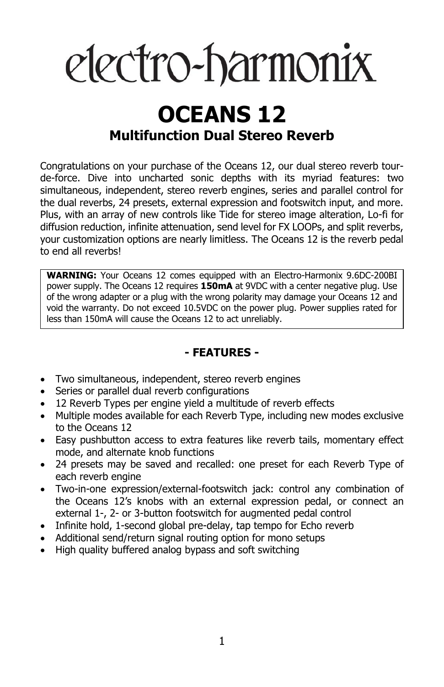# electro-harmonix

### **OCEANS 12 Multifunction Dual Stereo Reverb**

Congratulations on your purchase of the Oceans 12, our dual stereo reverb tourde-force. Dive into uncharted sonic depths with its myriad features: two simultaneous, independent, stereo reverb engines, series and parallel control for the dual reverbs, 24 presets, external expression and footswitch input, and more. Plus, with an array of new controls like Tide for stereo image alteration, Lo-fi for diffusion reduction, infinite attenuation, send level for FX LOOPs, and split reverbs, your customization options are nearly limitless. The Oceans 12 is the reverb pedal to end all reverbs!

**WARNING:** Your Oceans 12 comes equipped with an Electro-Harmonix 9.6DC-200BI power supply. The Oceans 12 requires **150mA** at 9VDC with a center negative plug. Use of the wrong adapter or a plug with the wrong polarity may damage your Oceans 12 and void the warranty. Do not exceed 10.5VDC on the power plug. Power supplies rated for less than 150mA will cause the Oceans 12 to act unreliably.

#### **- FEATURES -**

- Two simultaneous, independent, stereo reverb engines
- Series or parallel dual reverb configurations
- 12 Reverb Types per engine yield a multitude of reverb effects
- Multiple modes available for each Reverb Type, including new modes exclusive to the Oceans 12
- Easy pushbutton access to extra features like reverb tails, momentary effect mode, and alternate knob functions
- 24 presets may be saved and recalled: one preset for each Reverb Type of each reverb engine
- Two-in-one expression/external-footswitch jack: control any combination of the Oceans 12's knobs with an external expression pedal, or connect an external 1-, 2- or 3-button footswitch for augmented pedal control
- Infinite hold, 1-second global pre-delay, tap tempo for Echo reverb
- Additional send/return signal routing option for mono setups
- High quality buffered analog bypass and soft switching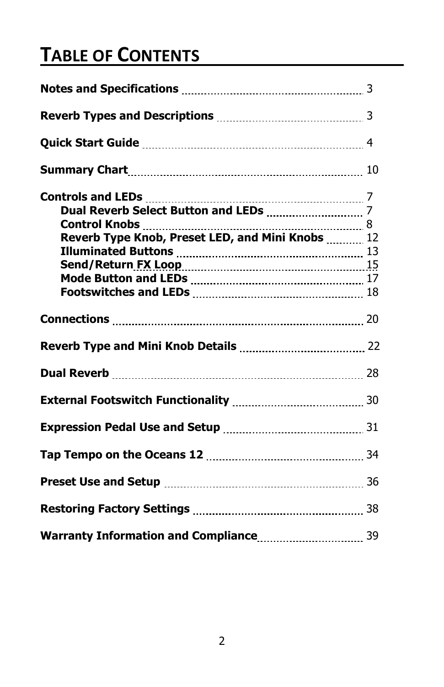## **TABLE OF CONTENTS**

| Reverb Types and Descriptions <b>Manual</b> 2008. 2014. 2015. |  |
|---------------------------------------------------------------|--|
|                                                               |  |
|                                                               |  |
| <b>Controls and LEDs</b>                                      |  |
|                                                               |  |
| Reverb Type Knob, Preset LED, and Mini Knobs  12              |  |
|                                                               |  |
|                                                               |  |
|                                                               |  |
|                                                               |  |
|                                                               |  |
|                                                               |  |
|                                                               |  |
|                                                               |  |
|                                                               |  |
|                                                               |  |
|                                                               |  |
|                                                               |  |
|                                                               |  |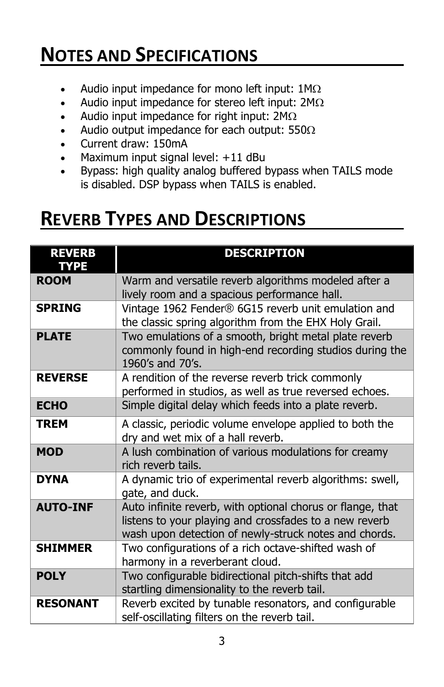### **NOTES AND SPECIFICATIONS**

- Audio input impedance for mono left input:  $1M\Omega$
- Audio input impedance for stereo left input:  $2M\Omega$
- Audio input impedance for right input:  $2M\Omega$
- Audio output impedance for each output:  $550\Omega$
- Current draw: 150mA
- Maximum input signal level: +11 dBu
- Bypass: high quality analog buffered bypass when TAILS mode is disabled. DSP bypass when TAILS is enabled.

### **REVERB TYPES AND DESCRIPTIONS**

| <b>REVERB</b><br><b>TYPE</b> | <b>DESCRIPTION</b>                                                                                                                                                            |
|------------------------------|-------------------------------------------------------------------------------------------------------------------------------------------------------------------------------|
| <b>ROOM</b>                  | Warm and versatile reverb algorithms modeled after a<br>lively room and a spacious performance hall.                                                                          |
| <b>SPRING</b>                | Vintage 1962 Fender® 6G15 reverb unit emulation and<br>the classic spring algorithm from the EHX Holy Grail.                                                                  |
| <b>PLATE</b>                 | Two emulations of a smooth, bright metal plate reverb<br>commonly found in high-end recording studios during the<br>1960's and 70's.                                          |
| <b>REVERSE</b>               | A rendition of the reverse reverb trick commonly<br>performed in studios, as well as true reversed echoes.                                                                    |
| <b>ECHO</b>                  | Simple digital delay which feeds into a plate reverb.                                                                                                                         |
| <b>TREM</b>                  | A classic, periodic volume envelope applied to both the<br>dry and wet mix of a hall reverb.                                                                                  |
| <b>MOD</b>                   | A lush combination of various modulations for creamy<br>rich reverb tails.                                                                                                    |
| <b>DYNA</b>                  | A dynamic trio of experimental reverb algorithms: swell,<br>gate, and duck.                                                                                                   |
| <b>AUTO-INF</b>              | Auto infinite reverb, with optional chorus or flange, that<br>listens to your playing and crossfades to a new reverb<br>wash upon detection of newly-struck notes and chords. |
| <b>SHIMMER</b>               | Two configurations of a rich octave-shifted wash of<br>harmony in a reverberant cloud.                                                                                        |
| <b>POLY</b>                  | Two configurable bidirectional pitch-shifts that add<br>startling dimensionality to the reverb tail.                                                                          |
| <b>RESONANT</b>              | Reverb excited by tunable resonators, and configurable<br>self-oscillating filters on the reverb tail.                                                                        |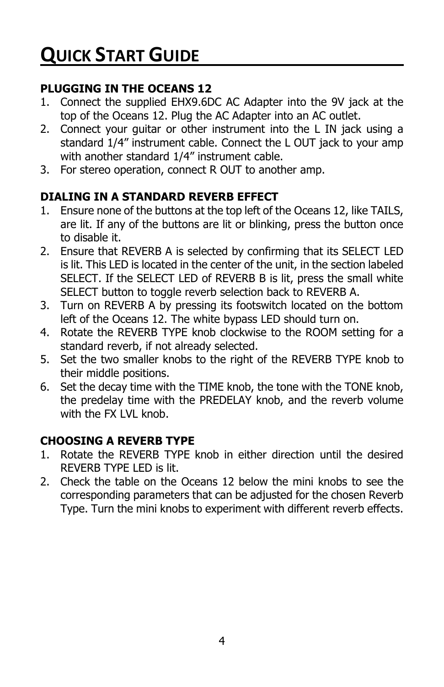#### **PLUGGING IN THE OCEANS 12**

- 1. Connect the supplied EHX9.6DC AC Adapter into the 9V jack at the top of the Oceans 12. Plug the AC Adapter into an AC outlet.
- 2. Connect your guitar or other instrument into the L IN jack using a standard 1/4" instrument cable. Connect the L OUT jack to your amp with another standard 1/4" instrument cable.
- 3. For stereo operation, connect R OUT to another amp.

#### **DIALING IN A STANDARD REVERB EFFECT**

- 1. Ensure none of the buttons at the top left of the Oceans 12, like TAILS, are lit. If any of the buttons are lit or blinking, press the button once to disable it.
- 2. Ensure that REVERB A is selected by confirming that its SELECT LED is lit. This LED is located in the center of the unit, in the section labeled SELECT. If the SELECT LED of REVERB B is lit, press the small white SELECT button to toggle reverb selection back to REVERB A.
- 3. Turn on REVERB A by pressing its footswitch located on the bottom left of the Oceans 12. The white bypass LED should turn on.
- 4. Rotate the REVERB TYPE knob clockwise to the ROOM setting for a standard reverb, if not already selected.
- 5. Set the two smaller knobs to the right of the REVERB TYPE knob to their middle positions.
- 6. Set the decay time with the TIME knob, the tone with the TONE knob, the predelay time with the PREDELAY knob, and the reverb volume with the FX LVL knob.

#### **CHOOSING A REVERB TYPE**

- 1. Rotate the REVERB TYPE knob in either direction until the desired REVERB TYPE LED is lit.
- 2. Check the table on the Oceans 12 below the mini knobs to see the corresponding parameters that can be adjusted for the chosen Reverb Type. Turn the mini knobs to experiment with different reverb effects.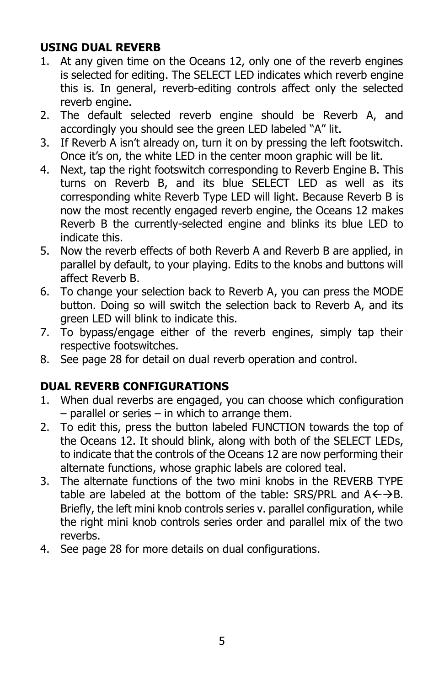#### **USING DUAL REVERB**

- 1. At any given time on the Oceans 12, only one of the reverb engines is selected for editing. The SELECT LED indicates which reverb engine this is. In general, reverb-editing controls affect only the selected reverb engine.
- 2. The default selected reverb engine should be Reverb A, and accordingly you should see the green LED labeled "A" lit.
- 3. If Reverb A isn't already on, turn it on by pressing the left footswitch. Once it's on, the white LED in the center moon graphic will be lit.
- 4. Next, tap the right footswitch corresponding to Reverb Engine B. This turns on Reverb B, and its blue SELECT LED as well as its corresponding white Reverb Type LED will light. Because Reverb B is now the most recently engaged reverb engine, the Oceans 12 makes Reverb B the currently-selected engine and blinks its blue LED to indicate this.
- 5. Now the reverb effects of both Reverb A and Reverb B are applied, in parallel by default, to your playing. Edits to the knobs and buttons will affect Reverb B.
- 6. To change your selection back to Reverb A, you can press the MODE button. Doing so will switch the selection back to Reverb A, and its green LED will blink to indicate this.
- 7. To bypass/engage either of the reverb engines, simply tap their respective footswitches.
- 8. See page 28 for detail on dual reverb operation and control.

#### **DUAL REVERB CONFIGURATIONS**

- 1. When dual reverbs are engaged, you can choose which configuration  $-$  parallel or series  $-$  in which to arrange them.
- 2. To edit this, press the button labeled FUNCTION towards the top of the Oceans 12. It should blink, along with both of the SELECT LEDs, to indicate that the controls of the Oceans 12 are now performing their alternate functions, whose graphic labels are colored teal.
- 3. The alternate functions of the two mini knobs in the REVERB TYPE table are labeled at the bottom of the table: SRS/PRL and  $A \leftarrow \rightarrow B$ . Briefly, the left mini knob controls series v. parallel configuration, while the right mini knob controls series order and parallel mix of the two reverbs.
- 4. See page 28 for more details on dual configurations.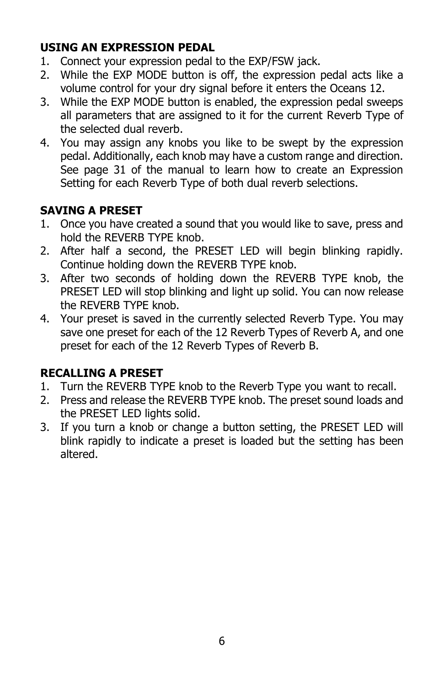#### **USING AN EXPRESSION PEDAL**

- 1. Connect your expression pedal to the EXP/FSW jack.
- 2. While the EXP MODE button is off, the expression pedal acts like a volume control for your dry signal before it enters the Oceans 12.
- 3. While the EXP MODE button is enabled, the expression pedal sweeps all parameters that are assigned to it for the current Reverb Type of the selected dual reverb.
- 4. You may assign any knobs you like to be swept by the expression pedal. Additionally, each knob may have a custom range and direction. See page 31 of the manual to learn how to create an Expression Setting for each Reverb Type of both dual reverb selections.

#### **SAVING A PRESET**

- 1. Once you have created a sound that you would like to save, press and hold the REVERB TYPE knob.
- 2. After half a second, the PRESET LED will begin blinking rapidly. Continue holding down the REVERB TYPE knob.
- 3. After two seconds of holding down the REVERB TYPE knob, the PRESET LED will stop blinking and light up solid. You can now release the REVERB TYPE knob.
- 4. Your preset is saved in the currently selected Reverb Type. You may save one preset for each of the 12 Reverb Types of Reverb A, and one preset for each of the 12 Reverb Types of Reverb B.

#### **RECALLING A PRESET**

- 1. Turn the REVERB TYPE knob to the Reverb Type you want to recall.
- 2. Press and release the REVERB TYPE knob. The preset sound loads and the PRESET LED lights solid.
- 3. If you turn a knob or change a button setting, the PRESET LED will blink rapidly to indicate a preset is loaded but the setting has been altered.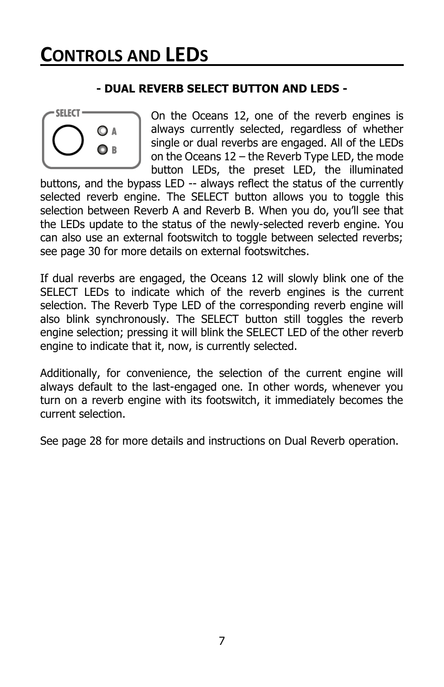#### **- DUAL REVERB SELECT BUTTON AND LEDS -**



On the Oceans 12, one of the reverb engines is always currently selected, regardless of whether single or dual reverbs are engaged. All of the LEDs on the Oceans 12 – the Reverb Type LED, the mode button LEDs, the preset LED, the illuminated

buttons, and the bypass LED -- always reflect the status of the currently selected reverb engine. The SELECT button allows you to toggle this selection between Reverb A and Reverb B. When you do, you'll see that the LEDs update to the status of the newly-selected reverb engine. You can also use an external footswitch to toggle between selected reverbs; see page 30 for more details on external footswitches.

If dual reverbs are engaged, the Oceans 12 will slowly blink one of the SELECT LEDs to indicate which of the reverb engines is the current selection. The Reverb Type LED of the corresponding reverb engine will also blink synchronously. The SELECT button still toggles the reverb engine selection; pressing it will blink the SELECT LED of the other reverb engine to indicate that it, now, is currently selected.

Additionally, for convenience, the selection of the current engine will always default to the last-engaged one. In other words, whenever you turn on a reverb engine with its footswitch, it immediately becomes the current selection.

See page 28 for more details and instructions on Dual Reverb operation.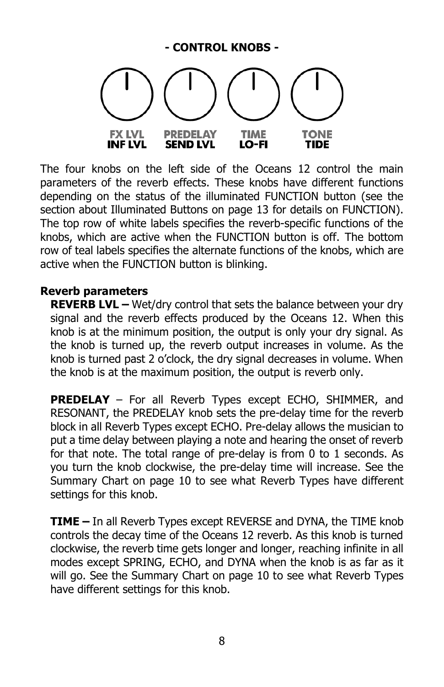#### **- CONTROL KNOBS - FX LVL PREDELAY TIME TONE INF LVL SEND LVL** LO-FI TIDE

The four knobs on the left side of the Oceans 12 control the main parameters of the reverb effects. These knobs have different functions depending on the status of the illuminated FUNCTION button (see the section about Illuminated Buttons on page 13 for details on FUNCTION). The top row of white labels specifies the reverb-specific functions of the knobs, which are active when the FUNCTION button is off. The bottom row of teal labels specifies the alternate functions of the knobs, which are active when the FUNCTION button is blinking.

#### **Reverb parameters**

**REVERB LVL –** Wet/dry control that sets the balance between your dry signal and the reverb effects produced by the Oceans 12. When this knob is at the minimum position, the output is only your dry signal. As the knob is turned up, the reverb output increases in volume. As the knob is turned past 2 o'clock, the dry signal decreases in volume. When the knob is at the maximum position, the output is reverb only.

**PREDELAY** – For all Reverb Types except ECHO, SHIMMER, and RESONANT, the PREDELAY knob sets the pre-delay time for the reverb block in all Reverb Types except ECHO. Pre-delay allows the musician to put a time delay between playing a note and hearing the onset of reverb for that note. The total range of pre-delay is from 0 to 1 seconds. As you turn the knob clockwise, the pre-delay time will increase. See the Summary Chart on page 10 to see what Reverb Types have different settings for this knob.

**TIME –** In all Reverb Types except REVERSE and DYNA, the TIME knob controls the decay time of the Oceans 12 reverb. As this knob is turned clockwise, the reverb time gets longer and longer, reaching infinite in all modes except SPRING, ECHO, and DYNA when the knob is as far as it will go. See the Summary Chart on page 10 to see what Reverb Types have different settings for this knob.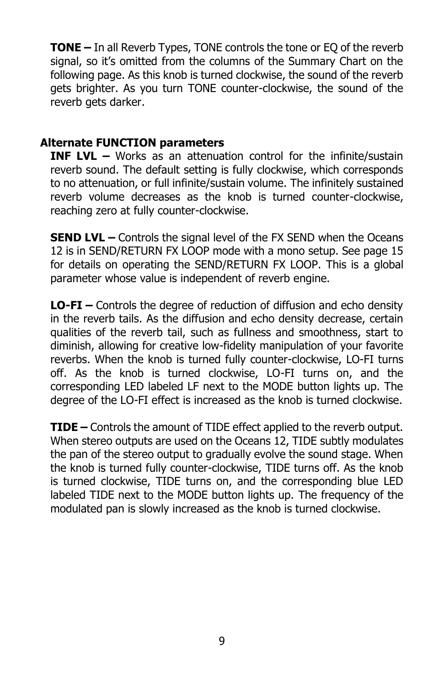**TONE –** In all Reverb Types, TONE controls the tone or EQ of the reverb signal, so it's omitted from the columns of the Summary Chart on the following page. As this knob is turned clockwise, the sound of the reverb gets brighter. As you turn TONE counter-clockwise, the sound of the reverb gets darker.

#### **Alternate FUNCTION parameters**

**INF LVL –** Works as an attenuation control for the infinite/sustain reverb sound. The default setting is fully clockwise, which corresponds to no attenuation, or full infinite/sustain volume. The infinitely sustained reverb volume decreases as the knob is turned counter-clockwise, reaching zero at fully counter-clockwise.

**SEND LVL –** Controls the signal level of the FX SEND when the Oceans 12 is in SEND/RETURN FX LOOP mode with a mono setup. See page 15 for details on operating the SEND/RETURN FX LOOP. This is a global parameter whose value is independent of reverb engine.

**LO-FI –** Controls the degree of reduction of diffusion and echo density in the reverb tails. As the diffusion and echo density decrease, certain qualities of the reverb tail, such as fullness and smoothness, start to diminish, allowing for creative low-fidelity manipulation of your favorite reverbs. When the knob is turned fully counter-clockwise, LO-FI turns off. As the knob is turned clockwise, LO-FI turns on, and the corresponding LED labeled LF next to the MODE button lights up. The degree of the LO-FI effect is increased as the knob is turned clockwise.

**TIDE –** Controls the amount of TIDE effect applied to the reverb output. When stereo outputs are used on the Oceans 12, TIDE subtly modulates the pan of the stereo output to gradually evolve the sound stage. When the knob is turned fully counter-clockwise, TIDE turns off. As the knob is turned clockwise, TIDE turns on, and the corresponding blue LED labeled TIDE next to the MODE button lights up. The frequency of the modulated pan is slowly increased as the knob is turned clockwise.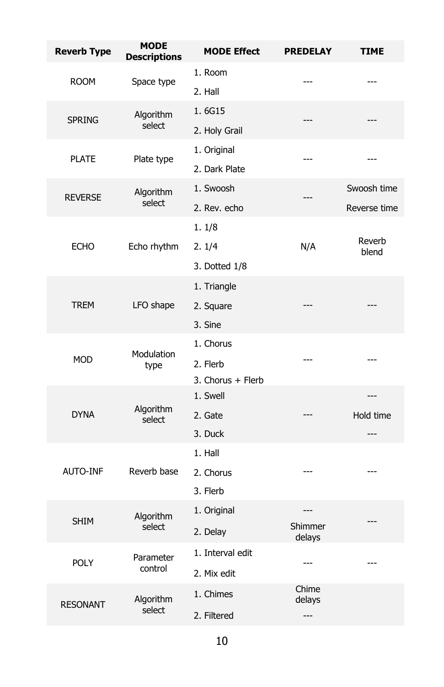| <b>Reverb Type</b> | <b>MODE</b><br><b>Descriptions</b> | <b>MODE Effect</b> | <b>PREDELAY</b>  | <b>TIME</b>     |
|--------------------|------------------------------------|--------------------|------------------|-----------------|
|                    |                                    | 1. Room            |                  |                 |
| <b>ROOM</b>        | Space type                         | 2. Hall            |                  |                 |
| <b>SPRING</b>      | Algorithm                          | 1.6G15             | ---              |                 |
|                    | select                             | 2. Holy Grail      |                  |                 |
| <b>PLATE</b>       |                                    | 1. Original        | ---              | $---$           |
|                    | Plate type                         | 2. Dark Plate      |                  |                 |
| <b>REVERSE</b>     | Algorithm                          | 1. Swoosh          | ---              | Swoosh time     |
|                    | select                             | 2. Rev. echo       |                  | Reverse time    |
|                    |                                    | 1.1/8              |                  |                 |
| <b>ECHO</b>        | Echo rhythm                        | 2.1/4              | N/A              | Reverb<br>blend |
|                    |                                    | 3. Dotted 1/8      |                  |                 |
|                    |                                    | 1. Triangle        |                  |                 |
| <b>TREM</b>        | LFO shape                          | 2. Square          |                  |                 |
|                    |                                    | 3. Sine            |                  |                 |
|                    | Modulation                         | 1. Chorus          |                  |                 |
| <b>MOD</b>         | type                               | 2. Flerb           | ---              |                 |
|                    |                                    | 3. Chorus + Flerb  |                  |                 |
|                    | Algorithm                          | 1. Swell           |                  | ---             |
| <b>DYNA</b>        | select                             | 2. Gate            | ---              | Hold time       |
|                    |                                    | 3. Duck            |                  | ---             |
|                    |                                    | 1. Hall            |                  |                 |
| <b>AUTO-INF</b>    | Reverb base                        | 2. Chorus          | ---              |                 |
|                    |                                    | 3. Flerb           |                  |                 |
| <b>SHIM</b>        | Algorithm<br>select                | 1. Original        | $---$<br>Shimmer |                 |
|                    |                                    | 2. Delay           | delays           |                 |
| <b>POLY</b>        | Parameter<br>control               | 1. Interval edit   | $---$            | ---             |
|                    |                                    | 2. Mix edit        |                  |                 |
| <b>RESONANT</b>    | Algorithm<br>select                | 1. Chimes          | Chime<br>delays  |                 |
|                    |                                    | 2. Filtered        | ---              |                 |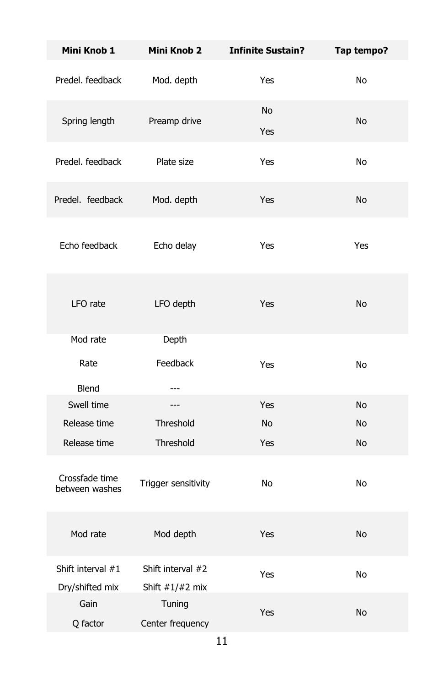| Mini Knob 1                          | <b>Mini Knob 2</b>                     | <b>Infinite Sustain?</b> | Tap tempo? |
|--------------------------------------|----------------------------------------|--------------------------|------------|
| Predel, feedback                     | Mod. depth                             | Yes                      | No         |
| Spring length                        | Preamp drive                           | <b>No</b><br>Yes         | <b>No</b>  |
| Predel, feedback                     | Plate size                             | Yes                      | No         |
| Predel. feedback                     | Mod. depth                             | Yes                      | No         |
| Echo feedback                        | Echo delay                             | Yes                      | Yes        |
| LFO rate                             | LFO depth                              | Yes                      | No         |
| Mod rate                             | Depth                                  |                          |            |
| Rate                                 | Feedback                               | Yes                      | No         |
| <b>Blend</b>                         | ---                                    |                          |            |
| Swell time                           | ---                                    | Yes                      | No         |
| Release time                         | Threshold                              | <b>No</b>                | No         |
| Release time                         | Threshold                              | Yes                      | No         |
| Crossfade time<br>between washes     | Trigger sensitivity                    | No                       | No         |
| Mod rate                             | Mod depth                              | Yes                      | No         |
| Shift interval #1<br>Dry/shifted mix | Shift interval #2<br>Shift $#1/H2$ mix | Yes                      | No         |
| Gain<br>Q factor                     | Tuning<br>Center frequency             | Yes                      | No         |
|                                      |                                        |                          |            |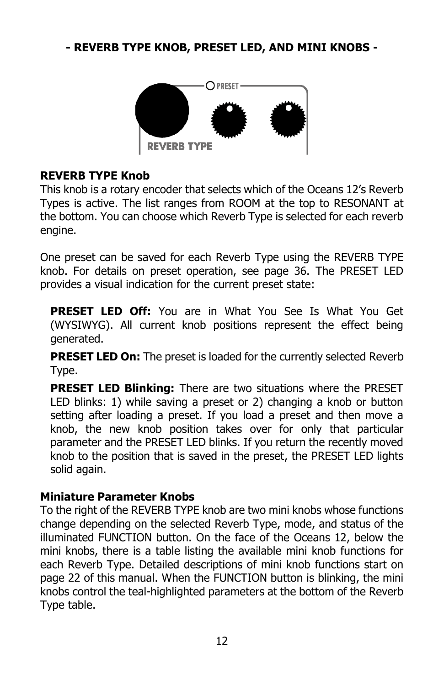#### **- REVERB TYPE KNOB, PRESET LED, AND MINI KNOBS -**



#### **REVERB TYPE Knob**

This knob is a rotary encoder that selects which of the Oceans 12's Reverb Types is active. The list ranges from ROOM at the top to RESONANT at the bottom. You can choose which Reverb Type is selected for each reverb engine.

One preset can be saved for each Reverb Type using the REVERB TYPE knob. For details on preset operation, see page 36. The PRESET LED provides a visual indication for the current preset state:

**PRESET LED Off:** You are in What You See Is What You Get (WYSIWYG). All current knob positions represent the effect being generated.

**PRESET LED On:** The preset is loaded for the currently selected Reverb Type.

**PRESET LED Blinking:** There are two situations where the PRESET LED blinks: 1) while saving a preset or 2) changing a knob or button setting after loading a preset. If you load a preset and then move a knob, the new knob position takes over for only that particular parameter and the PRESET LED blinks. If you return the recently moved knob to the position that is saved in the preset, the PRESET LED lights solid again.

#### **Miniature Parameter Knobs**

To the right of the REVERB TYPE knob are two mini knobs whose functions change depending on the selected Reverb Type, mode, and status of the illuminated FUNCTION button. On the face of the Oceans 12, below the mini knobs, there is a table listing the available mini knob functions for each Reverb Type. Detailed descriptions of mini knob functions start on page 22 of this manual. When the FUNCTION button is blinking, the mini knobs control the teal-highlighted parameters at the bottom of the Reverb Type table.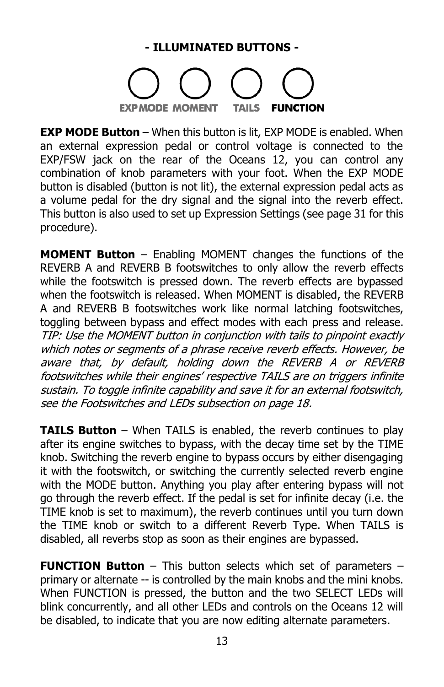#### **- ILLUMINATED BUTTONS -**



**EXP MODE Button** – When this button is lit, EXP MODE is enabled. When an external expression pedal or control voltage is connected to the EXP/FSW jack on the rear of the Oceans 12, you can control any combination of knob parameters with your foot. When the EXP MODE button is disabled (button is not lit), the external expression pedal acts as a volume pedal for the dry signal and the signal into the reverb effect. This button is also used to set up Expression Settings (see page 31 for this procedure).

**MOMENT Button** – Enabling MOMENT changes the functions of the REVERB A and REVERB B footswitches to only allow the reverb effects while the footswitch is pressed down. The reverb effects are bypassed when the footswitch is released. When MOMENT is disabled, the REVERB A and REVERB B footswitches work like normal latching footswitches, toggling between bypass and effect modes with each press and release. TIP: Use the MOMENT button in conjunction with tails to pinpoint exactly which notes or segments of a phrase receive reverb effects. However, be aware that, by default, holding down the REVERB A or REVERB footswitches while their engines' respective TAILS are on triggers infinite sustain. To toggle infinite capability and save it for an external footswitch, see the Footswitches and LEDs subsection on page 18.

**TAILS Button** – When TAILS is enabled, the reverb continues to play after its engine switches to bypass, with the decay time set by the TIME knob. Switching the reverb engine to bypass occurs by either disengaging it with the footswitch, or switching the currently selected reverb engine with the MODE button. Anything you play after entering bypass will not go through the reverb effect. If the pedal is set for infinite decay (i.e. the TIME knob is set to maximum), the reverb continues until you turn down the TIME knob or switch to a different Reverb Type. When TAILS is disabled, all reverbs stop as soon as their engines are bypassed.

**FUNCTION Button** – This button selects which set of parameters – primary or alternate -- is controlled by the main knobs and the mini knobs. When FUNCTION is pressed, the button and the two SELECT LEDs will blink concurrently, and all other LEDs and controls on the Oceans 12 will be disabled, to indicate that you are now editing alternate parameters.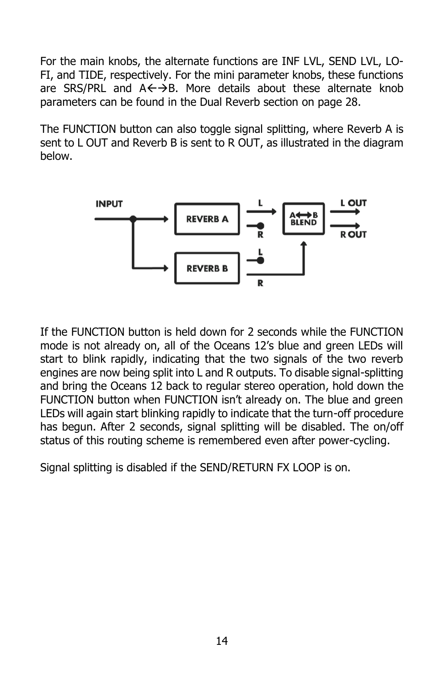For the main knobs, the alternate functions are INF LVL, SEND LVL, LO-FI, and TIDE, respectively. For the mini parameter knobs, these functions are SRS/PRL and  $A \leftarrow \rightarrow B$ . More details about these alternate knob parameters can be found in the Dual Reverb section on page 28.

The FUNCTION button can also toggle signal splitting, where Reverb A is sent to L OUT and Reverb B is sent to R OUT, as illustrated in the diagram below.



If the FUNCTION button is held down for 2 seconds while the FUNCTION mode is not already on, all of the Oceans 12's blue and green LEDs will start to blink rapidly, indicating that the two signals of the two reverb engines are now being split into L and R outputs. To disable signal-splitting and bring the Oceans 12 back to regular stereo operation, hold down the FUNCTION button when FUNCTION isn't already on. The blue and green LEDs will again start blinking rapidly to indicate that the turn-off procedure has begun. After 2 seconds, signal splitting will be disabled. The on/off status of this routing scheme is remembered even after power-cycling.

Signal splitting is disabled if the SEND/RETURN FX LOOP is on.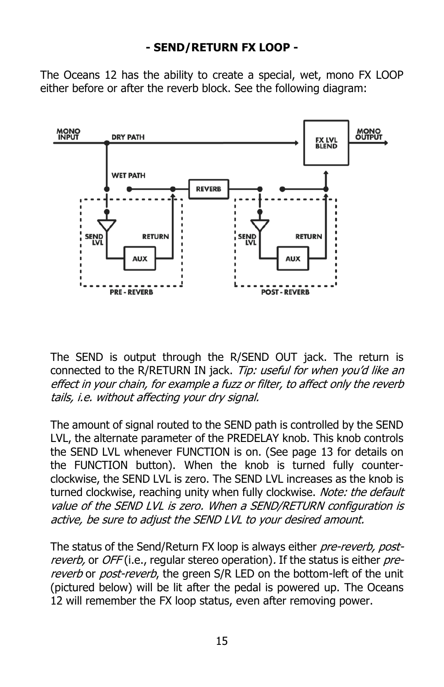#### **- SEND/RETURN FX LOOP -**

The Oceans 12 has the ability to create a special, wet, mono FX LOOP either before or after the reverb block. See the following diagram:



The SEND is output through the R/SEND OUT jack. The return is connected to the R/RETURN IN jack. Tip: useful for when you'd like an effect in your chain, for example a fuzz or filter, to affect only the reverb tails, i.e. without affecting your dry signal.

The amount of signal routed to the SEND path is controlled by the SEND LVL, the alternate parameter of the PREDELAY knob. This knob controls the SEND LVL whenever FUNCTION is on. (See page 13 for details on the FUNCTION button). When the knob is turned fully counterclockwise, the SEND LVL is zero. The SEND LVL increases as the knob is turned clockwise, reaching unity when fully clockwise. Note: the default value of the SEND LVL is zero. When a SEND/RETURN configuration is active, be sure to adjust the SEND LVL to your desired amount.

The status of the Send/Return FX loop is always either pre-reverb, postreverb, or OFF (i.e., regular stereo operation). If the status is either prereverb or post-reverb, the green S/R LED on the bottom-left of the unit (pictured below) will be lit after the pedal is powered up. The Oceans 12 will remember the FX loop status, even after removing power.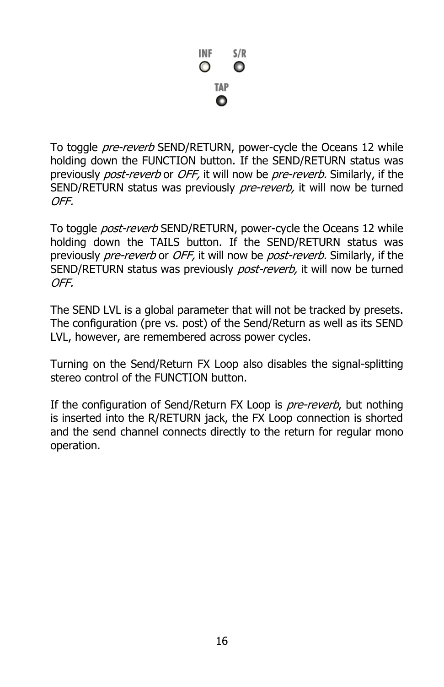

To toggle *pre-reverb* SEND/RETURN, power-cycle the Oceans 12 while holding down the FUNCTION button. If the SEND/RETURN status was previously *post-reverb* or *OFF*, it will now be *pre-reverb*. Similarly, if the SEND/RETURN status was previously pre-reverb, it will now be turned OFF.

To toggle *post-reverb* SEND/RETURN, power-cycle the Oceans 12 while holding down the TAILS button. If the SEND/RETURN status was previously pre-reverb or OFF, it will now be post-reverb. Similarly, if the SEND/RETURN status was previously post-reverb, it will now be turned OFF.

The SEND LVL is a global parameter that will not be tracked by presets. The configuration (pre vs. post) of the Send/Return as well as its SEND LVL, however, are remembered across power cycles.

Turning on the Send/Return FX Loop also disables the signal-splitting stereo control of the FUNCTION button.

If the configuration of Send/Return FX Loop is *pre-reverb*, but nothing is inserted into the R/RETURN jack, the FX Loop connection is shorted and the send channel connects directly to the return for regular mono operation.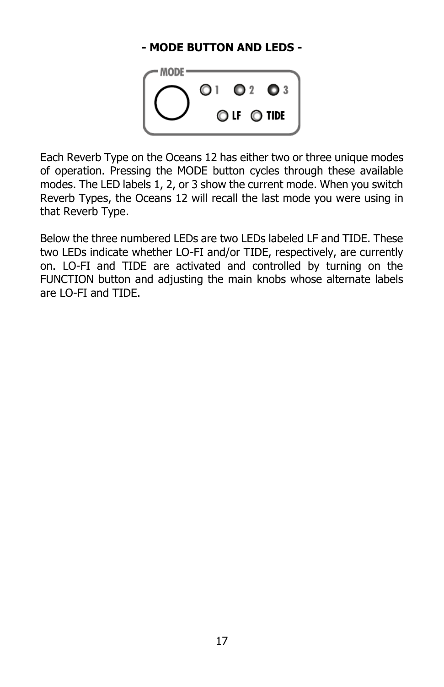#### **- MODE BUTTON AND LEDS -**



Each Reverb Type on the Oceans 12 has either two or three unique modes of operation. Pressing the MODE button cycles through these available modes. The LED labels 1, 2, or 3 show the current mode. When you switch Reverb Types, the Oceans 12 will recall the last mode you were using in that Reverb Type.

Below the three numbered LEDs are two LEDs labeled LF and TIDE. These two LEDs indicate whether LO-FI and/or TIDE, respectively, are currently on. LO-FI and TIDE are activated and controlled by turning on the FUNCTION button and adjusting the main knobs whose alternate labels are LO-FI and TIDE.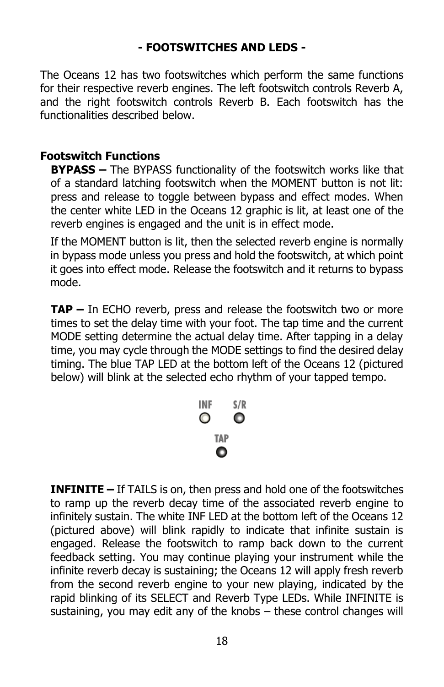#### **- FOOTSWITCHES AND LEDS -**

The Oceans 12 has two footswitches which perform the same functions for their respective reverb engines. The left footswitch controls Reverb A, and the right footswitch controls Reverb B. Each footswitch has the functionalities described below.

#### **Footswitch Functions**

**BYPASS –** The BYPASS functionality of the footswitch works like that of a standard latching footswitch when the MOMENT button is not lit: press and release to toggle between bypass and effect modes. When the center white LED in the Oceans 12 graphic is lit, at least one of the reverb engines is engaged and the unit is in effect mode.

If the MOMENT button is lit, then the selected reverb engine is normally in bypass mode unless you press and hold the footswitch, at which point it goes into effect mode. Release the footswitch and it returns to bypass mode.

**TAP –** In ECHO reverb, press and release the footswitch two or more times to set the delay time with your foot. The tap time and the current MODE setting determine the actual delay time. After tapping in a delay time, you may cycle through the MODE settings to find the desired delay timing. The blue TAP LED at the bottom left of the Oceans 12 (pictured below) will blink at the selected echo rhythm of your tapped tempo.



**INFINITE –** If TAILS is on, then press and hold one of the footswitches to ramp up the reverb decay time of the associated reverb engine to infinitely sustain. The white INF LED at the bottom left of the Oceans 12 (pictured above) will blink rapidly to indicate that infinite sustain is engaged. Release the footswitch to ramp back down to the current feedback setting. You may continue playing your instrument while the infinite reverb decay is sustaining; the Oceans 12 will apply fresh reverb from the second reverb engine to your new playing, indicated by the rapid blinking of its SELECT and Reverb Type LEDs. While INFINITE is sustaining, you may edit any of the knobs – these control changes will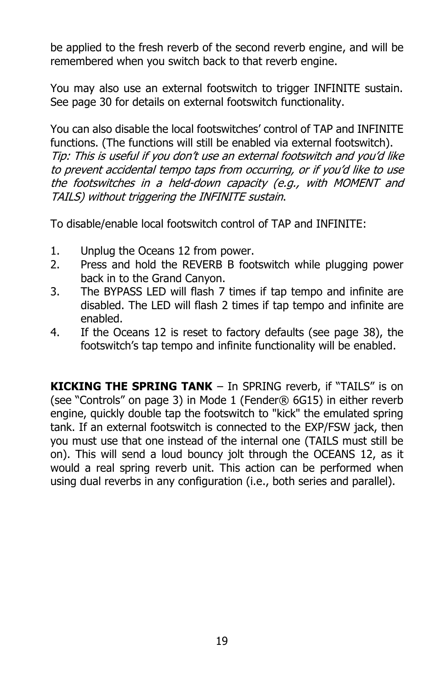be applied to the fresh reverb of the second reverb engine, and will be remembered when you switch back to that reverb engine.

You may also use an external footswitch to trigger INFINITE sustain. See page 30 for details on external footswitch functionality.

You can also disable the local footswitches' control of TAP and INFINITE functions. (The functions will still be enabled via external footswitch). Tip: This is useful if you don't use an external footswitch and you'd like to prevent accidental tempo taps from occurring, or if you'd like to use the footswitches in a held-down capacity (e.g., with MOMENT and TAILS) without triggering the INFINITE sustain.

To disable/enable local footswitch control of TAP and INFINITE:

- 1. Unplug the Oceans 12 from power.
- 2. Press and hold the REVERB B footswitch while plugging power back in to the Grand Canyon.
- 3. The BYPASS LED will flash 7 times if tap tempo and infinite are disabled. The LED will flash 2 times if tap tempo and infinite are enabled.
- 4. If the Oceans 12 is reset to factory defaults (see page 38), the footswitch's tap tempo and infinite functionality will be enabled.

**KICKING THE SPRING TANK** – In SPRING reverb, if "TAILS" is on (see "Controls" on page 3) in Mode 1 (Fender® 6G15) in either reverb engine, quickly double tap the footswitch to "kick" the emulated spring tank. If an external footswitch is connected to the EXP/FSW jack, then you must use that one instead of the internal one (TAILS must still be on). This will send a loud bouncy jolt through the OCEANS 12, as it would a real spring reverb unit. This action can be performed when using dual reverbs in any configuration (i.e., both series and parallel).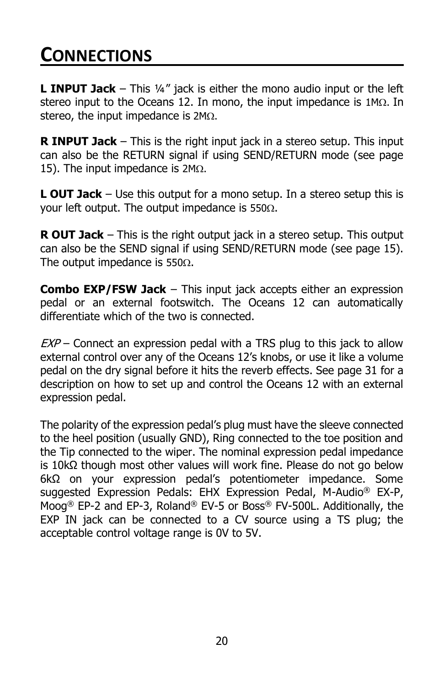### **CONNECTIONS**

**L INPUT Jack** – This ¼" jack is either the mono audio input or the left stereo input to the Oceans 12. In mono, the input impedance is  $1M<sub>\Omega</sub>$ . In stereo, the input impedance is  $2M<sub>\Omega</sub>$ .

**R INPUT Jack** – This is the right input jack in a stereo setup. This input can also be the RETURN signal if using SEND/RETURN mode (see page 15). The input impedance is  $2M<sub>\Omega</sub>$ .

**L OUT Jack** – Use this output for a mono setup. In a stereo setup this is your left output. The output impedance is 550 $\Omega$ .

**R OUT Jack** – This is the right output jack in a stereo setup. This output can also be the SEND signal if using SEND/RETURN mode (see page 15). The output impedance is 550 $\Omega$ .

**Combo EXP/FSW Jack** – This input jack accepts either an expression pedal or an external footswitch. The Oceans 12 can automatically differentiate which of the two is connected.

 $EXP$  – Connect an expression pedal with a TRS plug to this jack to allow external control over any of the Oceans 12's knobs, or use it like a volume pedal on the dry signal before it hits the reverb effects. See page 31 for a description on how to set up and control the Oceans 12 with an external expression pedal.

The polarity of the expression pedal's plug must have the sleeve connected to the heel position (usually GND), Ring connected to the toe position and the Tip connected to the wiper. The nominal expression pedal impedance is 10kΩ though most other values will work fine. Please do not go below 6kΩ on your expression pedal's potentiometer impedance. Some suggested Expression Pedals: EHX Expression Pedal, M-Audio® EX-P, Moog® EP-2 and EP-3, Roland® EV-5 or Boss® FV-500L. Additionally, the EXP IN jack can be connected to a CV source using a TS plug; the acceptable control voltage range is 0V to 5V.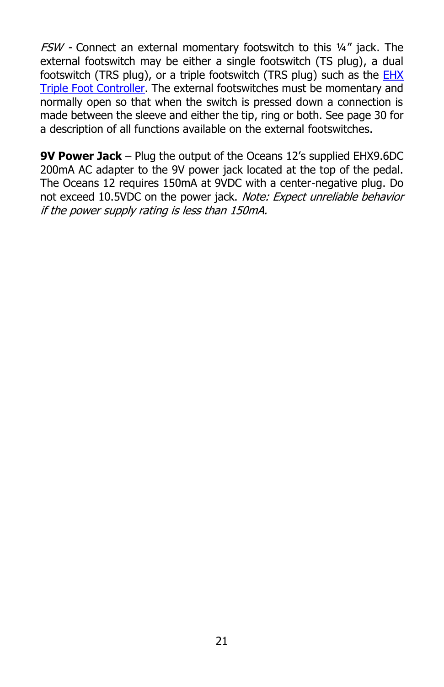$FSW$  - Connect an external momentary footswitch to this  $\frac{1}{4}$  iack. The external footswitch may be either a single footswitch (TS plug), a dual footswitch (TRS plug), or a triple footswitch (TRS plug) such as the **EHX** [Triple Foot Controller.](https://www.ehx.com/products/triple-foot-controller) The external footswitches must be momentary and normally open so that when the switch is pressed down a connection is made between the sleeve and either the tip, ring or both. See page 30 for a description of all functions available on the external footswitches.

**9V Power Jack** – Plug the output of the Oceans 12's supplied EHX9.6DC 200mA AC adapter to the 9V power jack located at the top of the pedal. The Oceans 12 requires 150mA at 9VDC with a center-negative plug. Do not exceed 10.5VDC on the power jack. Note: Expect unreliable behavior if the power supply rating is less than 150mA.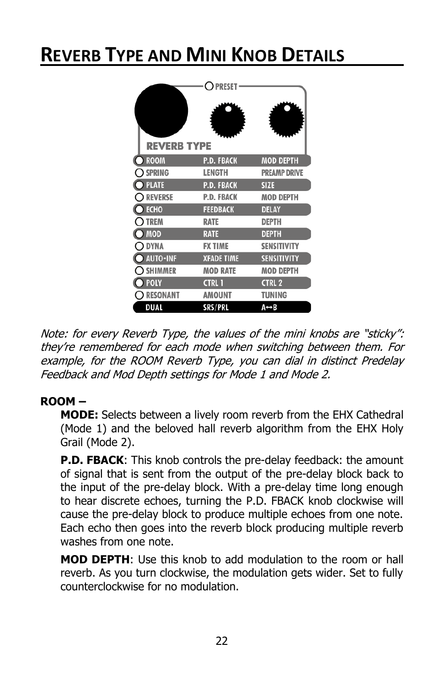### **REVERB TYPE AND MINI KNOB DETAILS**

|                    | <b>PRESET</b>     |                     |
|--------------------|-------------------|---------------------|
| <b>REVERB TYPE</b> |                   |                     |
| <b>ROOM</b>        | <b>P.D. FBACK</b> | <b>MOD DEPTH</b>    |
| <b>SPRING</b>      | LENGTH            | <b>PREAMP DRIVE</b> |
| <b>PLATE</b>       | <b>P.D. FBACK</b> | <b>SIZE</b>         |
| <b>REVERSE</b>     | P.D. FBACK        | <b>MOD DEPTH</b>    |
| <b>ECHO</b>        | <b>FEEDBACK</b>   | <b>DELAY</b>        |
| <b>TREM</b>        | <b>RATE</b>       | <b>DEPTH</b>        |
| <b>MOD</b>         | <b>RATE</b>       | <b>DEPTH</b>        |
| <b>DYNA</b>        | <b>FX TIME</b>    | <b>SENSITIVITY</b>  |
| <b>AUTO-INF</b>    | <b>XFADE TIME</b> | <b>SENSITIVITY</b>  |
| <b>SHIMMER</b>     | <b>MOD RATE</b>   | <b>MOD DEPTH</b>    |
| <b>POLY</b>        | <b>CTRL 1</b>     | <b>CTRL 2</b>       |
| <b>RESONANT</b>    | AMOUNT            | TUNING              |
| DUAL               | SRS/PRL           | A↔B                 |

Note: for every Reverb Type, the values of the mini knobs are "sticky": they're remembered for each mode when switching between them. For example, for the ROOM Reverb Type, you can dial in distinct Predelay Feedback and Mod Depth settings for Mode 1 and Mode 2.

#### **ROOM –**

**MODE:** Selects between a lively room reverb from the EHX Cathedral (Mode 1) and the beloved hall reverb algorithm from the EHX Holy Grail (Mode 2).

**P.D. FBACK**: This knob controls the pre-delay feedback: the amount of signal that is sent from the output of the pre-delay block back to the input of the pre-delay block. With a pre-delay time long enough to hear discrete echoes, turning the P.D. FBACK knob clockwise will cause the pre-delay block to produce multiple echoes from one note. Each echo then goes into the reverb block producing multiple reverb washes from one note.

**MOD DEPTH**: Use this knob to add modulation to the room or hall reverb. As you turn clockwise, the modulation gets wider. Set to fully counterclockwise for no modulation.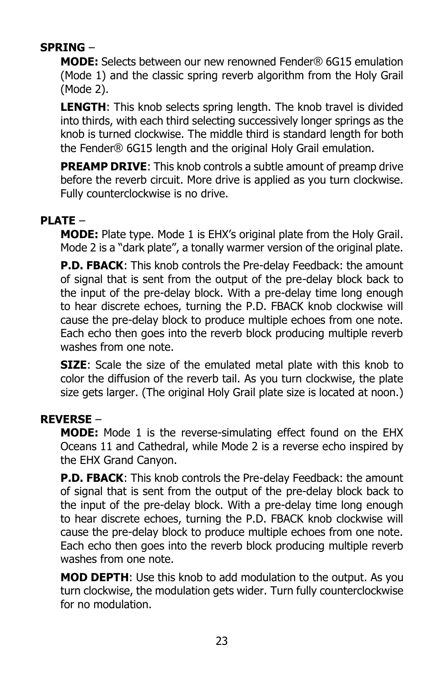#### **SPRING** –

**MODE:** Selects between our new renowned Fender® 6G15 emulation (Mode 1) and the classic spring reverb algorithm from the Holy Grail (Mode 2).

**LENGTH**: This knob selects spring length. The knob travel is divided into thirds, with each third selecting successively longer springs as the knob is turned clockwise. The middle third is standard length for both the Fender® 6G15 length and the original Holy Grail emulation.

**PREAMP DRIVE:** This knob controls a subtle amount of preamp drive before the reverb circuit. More drive is applied as you turn clockwise. Fully counterclockwise is no drive.

#### **PLATE** –

**MODE:** Plate type. Mode 1 is EHX's original plate from the Holy Grail. Mode 2 is a "dark plate", a tonally warmer version of the original plate.

**P.D. FBACK**: This knob controls the Pre-delay Feedback: the amount of signal that is sent from the output of the pre-delay block back to the input of the pre-delay block. With a pre-delay time long enough to hear discrete echoes, turning the P.D. FBACK knob clockwise will cause the pre-delay block to produce multiple echoes from one note. Each echo then goes into the reverb block producing multiple reverb washes from one note.

**SIZE**: Scale the size of the emulated metal plate with this knob to color the diffusion of the reverb tail. As you turn clockwise, the plate size gets larger. (The original Holy Grail plate size is located at noon.)

#### **REVERSE** –

**MODE:** Mode 1 is the reverse-simulating effect found on the EHX Oceans 11 and Cathedral, while Mode 2 is a reverse echo inspired by the EHX Grand Canyon.

**P.D. FBACK**: This knob controls the Pre-delay Feedback: the amount of signal that is sent from the output of the pre-delay block back to the input of the pre-delay block. With a pre-delay time long enough to hear discrete echoes, turning the P.D. FBACK knob clockwise will cause the pre-delay block to produce multiple echoes from one note. Each echo then goes into the reverb block producing multiple reverb washes from one note.

**MOD DEPTH**: Use this knob to add modulation to the output. As you turn clockwise, the modulation gets wider. Turn fully counterclockwise for no modulation.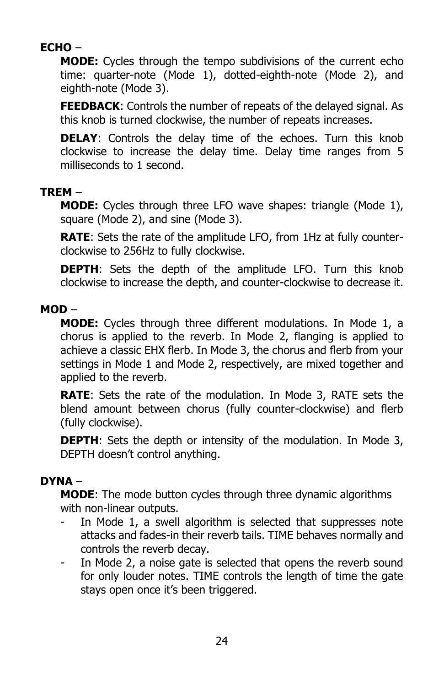#### **ECHO** –

**MODE:** Cycles through the tempo subdivisions of the current echo time: quarter-note (Mode 1), dotted-eighth-note (Mode 2), and eighth-note (Mode 3).

**FEEDBACK**: Controls the number of repeats of the delayed signal. As this knob is turned clockwise, the number of repeats increases.

**DELAY:** Controls the delay time of the echoes. Turn this knob clockwise to increase the delay time. Delay time ranges from 5 milliseconds to 1 second.

#### **TREM** –

**MODE:** Cycles through three LFO wave shapes: triangle (Mode 1), square (Mode 2), and sine (Mode 3).

**RATE**: Sets the rate of the amplitude LFO, from 1Hz at fully counterclockwise to 256Hz to fully clockwise.

**DEPTH**: Sets the depth of the amplitude LFO. Turn this knob clockwise to increase the depth, and counter-clockwise to decrease it.

#### **MOD** –

**MODE:** Cycles through three different modulations. In Mode 1, a chorus is applied to the reverb. In Mode 2, flanging is applied to achieve a classic EHX flerb. In Mode 3, the chorus and flerb from your settings in Mode 1 and Mode 2, respectively, are mixed together and applied to the reverb.

**RATE**: Sets the rate of the modulation. In Mode 3, RATE sets the blend amount between chorus (fully counter-clockwise) and flerb (fully clockwise).

**DEPTH**: Sets the depth or intensity of the modulation. In Mode 3, DEPTH doesn't control anything.

#### **DYNA** –

**MODE**: The mode button cycles through three dynamic algorithms with non-linear outputs.

- In Mode 1, a swell algorithm is selected that suppresses note attacks and fades-in their reverb tails. TIME behaves normally and controls the reverb decay.
- In Mode 2, a noise gate is selected that opens the reverb sound for only louder notes. TIME controls the length of time the gate stays open once it's been triggered.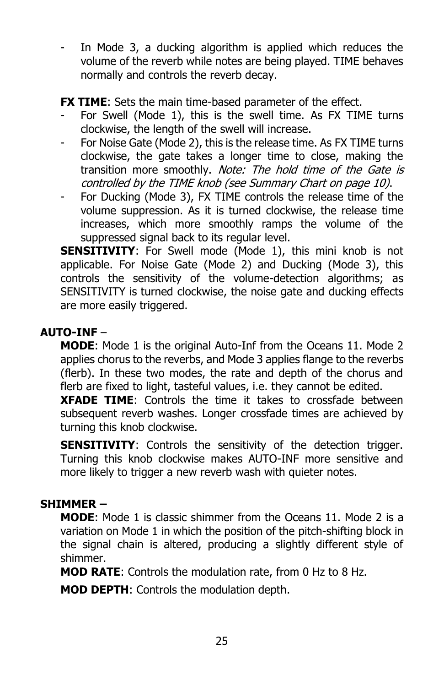In Mode 3, a ducking algorithm is applied which reduces the volume of the reverb while notes are being played. TIME behaves normally and controls the reverb decay.

**FX TIME:** Sets the main time-based parameter of the effect.

- For Swell (Mode 1), this is the swell time. As FX TIME turns clockwise, the length of the swell will increase.
- For Noise Gate (Mode 2), this is the release time. As FX TIME turns clockwise, the gate takes a longer time to close, making the transition more smoothly. Note: The hold time of the Gate is controlled by the TIME knob (see Summary Chart on page 10).
- For Ducking (Mode 3), FX TIME controls the release time of the volume suppression. As it is turned clockwise, the release time increases, which more smoothly ramps the volume of the suppressed signal back to its regular level.

**SENSITIVITY:** For Swell mode (Mode 1), this mini knob is not applicable. For Noise Gate (Mode 2) and Ducking (Mode 3), this controls the sensitivity of the volume-detection algorithms; as SENSITIVITY is turned clockwise, the noise gate and ducking effects are more easily triggered.

#### **AUTO-INF** –

**MODE**: Mode 1 is the original Auto-Inf from the Oceans 11. Mode 2 applies chorus to the reverbs, and Mode 3 applies flange to the reverbs (flerb). In these two modes, the rate and depth of the chorus and flerb are fixed to light, tasteful values, i.e. they cannot be edited.

**XFADE TIME**: Controls the time it takes to crossfade between subsequent reverb washes. Longer crossfade times are achieved by turning this knob clockwise.

**SENSITIVITY:** Controls the sensitivity of the detection trigger. Turning this knob clockwise makes AUTO-INF more sensitive and more likely to trigger a new reverb wash with quieter notes.

#### **SHIMMER –**

**MODE**: Mode 1 is classic shimmer from the Oceans 11. Mode 2 is a variation on Mode 1 in which the position of the pitch-shifting block in the signal chain is altered, producing a slightly different style of shimmer.

**MOD RATE**: Controls the modulation rate, from 0 Hz to 8 Hz.

**MOD DEPTH**: Controls the modulation depth.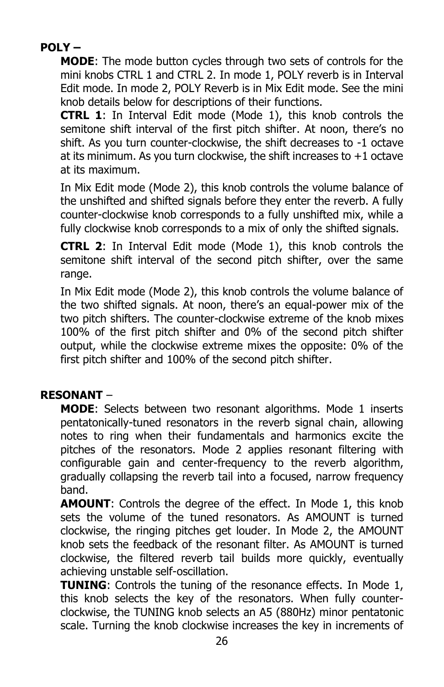#### **POLY –**

**MODE**: The mode button cycles through two sets of controls for the mini knobs CTRL 1 and CTRL 2. In mode 1, POLY reverb is in Interval Edit mode. In mode 2, POLY Reverb is in Mix Edit mode. See the mini knob details below for descriptions of their functions.

**CTRL 1**: In Interval Edit mode (Mode 1), this knob controls the semitone shift interval of the first pitch shifter. At noon, there's no shift. As you turn counter-clockwise, the shift decreases to -1 octave at its minimum. As you turn clockwise, the shift increases to  $+1$  octave at its maximum.

In Mix Edit mode (Mode 2), this knob controls the volume balance of the unshifted and shifted signals before they enter the reverb. A fully counter-clockwise knob corresponds to a fully unshifted mix, while a fully clockwise knob corresponds to a mix of only the shifted signals.

**CTRL 2**: In Interval Edit mode (Mode 1), this knob controls the semitone shift interval of the second pitch shifter, over the same range.

In Mix Edit mode (Mode 2), this knob controls the volume balance of the two shifted signals. At noon, there's an equal-power mix of the two pitch shifters. The counter-clockwise extreme of the knob mixes 100% of the first pitch shifter and 0% of the second pitch shifter output, while the clockwise extreme mixes the opposite: 0% of the first pitch shifter and 100% of the second pitch shifter.

#### **RESONANT** –

**MODE**: Selects between two resonant algorithms. Mode 1 inserts pentatonically-tuned resonators in the reverb signal chain, allowing notes to ring when their fundamentals and harmonics excite the pitches of the resonators. Mode 2 applies resonant filtering with configurable gain and center-frequency to the reverb algorithm, gradually collapsing the reverb tail into a focused, narrow frequency band.

**AMOUNT**: Controls the degree of the effect. In Mode 1, this knob sets the volume of the tuned resonators. As AMOUNT is turned clockwise, the ringing pitches get louder. In Mode 2, the AMOUNT knob sets the feedback of the resonant filter. As AMOUNT is turned clockwise, the filtered reverb tail builds more quickly, eventually achieving unstable self-oscillation.

**TUNING**: Controls the tuning of the resonance effects. In Mode 1, this knob selects the key of the resonators. When fully counterclockwise, the TUNING knob selects an A5 (880Hz) minor pentatonic scale. Turning the knob clockwise increases the key in increments of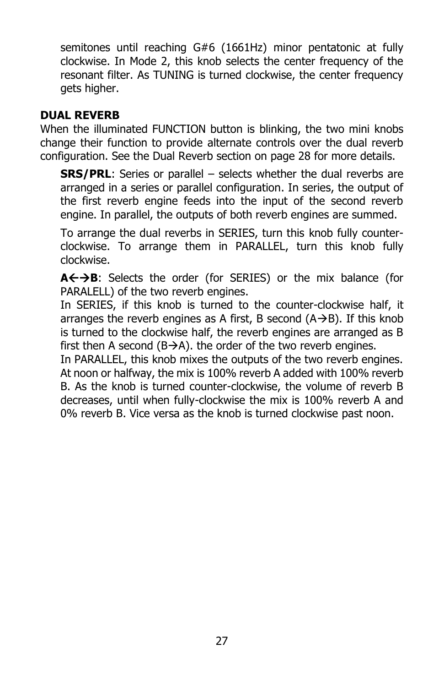semitones until reaching G#6 (1661Hz) minor pentatonic at fully clockwise. In Mode 2, this knob selects the center frequency of the resonant filter. As TUNING is turned clockwise, the center frequency gets higher.

#### **DUAL REVERB**

When the illuminated FUNCTION button is blinking, the two mini knobs change their function to provide alternate controls over the dual reverb configuration. See the Dual Reverb section on page 28 for more details.

**SRS/PRL:** Series or parallel – selects whether the dual reverbs are arranged in a series or parallel configuration. In series, the output of the first reverb engine feeds into the input of the second reverb engine. In parallel, the outputs of both reverb engines are summed.

To arrange the dual reverbs in SERIES, turn this knob fully counterclockwise. To arrange them in PARALLEL, turn this knob fully clockwise.

A **← → B**: Selects the order (for SERIES) or the mix balance (for PARALELL) of the two reverb engines.

In SERIES, if this knob is turned to the counter-clockwise half, it arranges the reverb engines as A first, B second  $(A \rightarrow B)$ . If this knob is turned to the clockwise half, the reverb engines are arranged as B first then A second ( $B\rightarrow A$ ). the order of the two reverb engines.

In PARALLEL, this knob mixes the outputs of the two reverb engines. At noon or halfway, the mix is 100% reverb A added with 100% reverb B. As the knob is turned counter-clockwise, the volume of reverb B decreases, until when fully-clockwise the mix is 100% reverb A and 0% reverb B. Vice versa as the knob is turned clockwise past noon.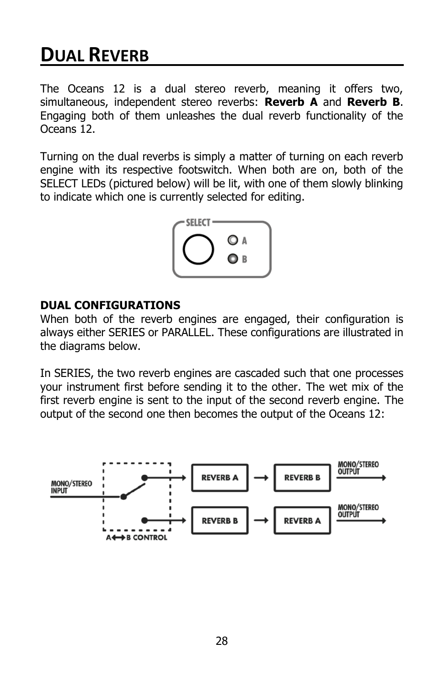### **DUAL REVERB**

The Oceans 12 is a dual stereo reverb, meaning it offers two, simultaneous, independent stereo reverbs: **Reverb A** and **Reverb B**. Engaging both of them unleashes the dual reverb functionality of the Oceans 12.

Turning on the dual reverbs is simply a matter of turning on each reverb engine with its respective footswitch. When both are on, both of the SELECT LEDs (pictured below) will be lit, with one of them slowly blinking to indicate which one is currently selected for editing.



#### **DUAL CONFIGURATIONS**

When both of the reverb engines are engaged, their configuration is always either SERIES or PARALLEL. These configurations are illustrated in the diagrams below.

In SERIES, the two reverb engines are cascaded such that one processes your instrument first before sending it to the other. The wet mix of the first reverb engine is sent to the input of the second reverb engine. The output of the second one then becomes the output of the Oceans 12:

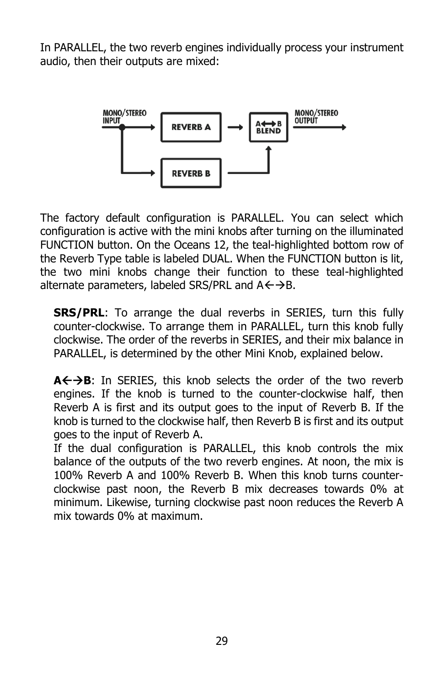In PARALLEL, the two reverb engines individually process your instrument audio, then their outputs are mixed:



The factory default configuration is PARALLEL. You can select which configuration is active with the mini knobs after turning on the illuminated FUNCTION button. On the Oceans 12, the teal-highlighted bottom row of the Reverb Type table is labeled DUAL. When the FUNCTION button is lit, the two mini knobs change their function to these teal-highlighted alternate parameters, labeled SRS/PRL and  $A \leftarrow \rightarrow B$ .

**SRS/PRL:** To arrange the dual reverbs in SERIES, turn this fully counter-clockwise. To arrange them in PARALLEL, turn this knob fully clockwise. The order of the reverbs in SERIES, and their mix balance in PARALLEL, is determined by the other Mini Knob, explained below.

A←→B: In SERIES, this knob selects the order of the two reverb engines. If the knob is turned to the counter-clockwise half, then Reverb A is first and its output goes to the input of Reverb B. If the knob is turned to the clockwise half, then Reverb B is first and its output goes to the input of Reverb A.

If the dual configuration is PARALLEL, this knob controls the mix balance of the outputs of the two reverb engines. At noon, the mix is 100% Reverb A and 100% Reverb B. When this knob turns counterclockwise past noon, the Reverb B mix decreases towards 0% at minimum. Likewise, turning clockwise past noon reduces the Reverb A mix towards 0% at maximum.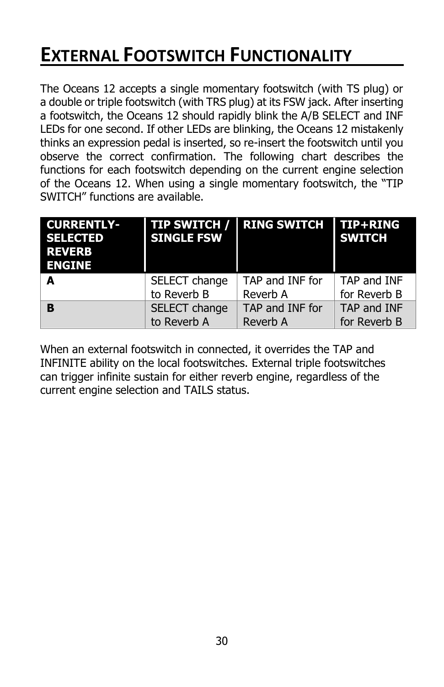### **EXTERNAL FOOTSWITCH FUNCTIONALITY**

The Oceans 12 accepts a single momentary footswitch (with TS plug) or a double or triple footswitch (with TRS plug) at its FSW jack. After inserting a footswitch, the Oceans 12 should rapidly blink the A/B SELECT and INF LEDs for one second. If other LEDs are blinking, the Oceans 12 mistakenly thinks an expression pedal is inserted, so re-insert the footswitch until you observe the correct confirmation. The following chart describes the functions for each footswitch depending on the current engine selection of the Oceans 12. When using a single momentary footswitch, the "TIP SWITCH" functions are available.

| <b>CURRENTLY-</b><br><b>SELECTED</b><br><b>REVERB</b><br><b>ENGINE</b> | <b>TIP SWITCH /</b><br><b>SINGLE FSW</b> | <b>RING SWITCH</b> | <b>TIP+RING</b><br><b>SWITCH</b> |
|------------------------------------------------------------------------|------------------------------------------|--------------------|----------------------------------|
| A                                                                      | SELECT change                            | TAP and INF for    | TAP and INF                      |
|                                                                        | to Reverb B                              | Reverb A           | for Reverb B                     |
| <b>B</b>                                                               | SELECT change                            | TAP and INF for    | TAP and INF                      |
|                                                                        | to Reverb A                              | Reverb A           | for Reverb B                     |

When an external footswitch in connected, it overrides the TAP and INFINITE ability on the local footswitches. External triple footswitches can trigger infinite sustain for either reverb engine, regardless of the current engine selection and TAILS status.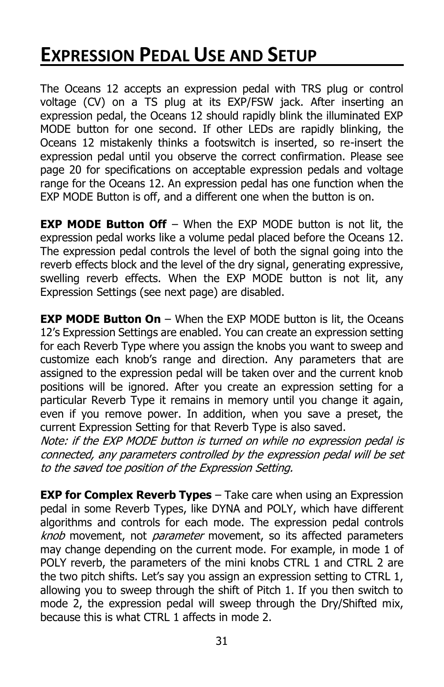### **EXPRESSION PEDAL USE AND SETUP**

The Oceans 12 accepts an expression pedal with TRS plug or control voltage (CV) on a TS plug at its EXP/FSW jack. After inserting an expression pedal, the Oceans 12 should rapidly blink the illuminated EXP MODE button for one second. If other LEDs are rapidly blinking, the Oceans 12 mistakenly thinks a footswitch is inserted, so re-insert the expression pedal until you observe the correct confirmation. Please see page 20 for specifications on acceptable expression pedals and voltage range for the Oceans 12. An expression pedal has one function when the EXP MODE Button is off, and a different one when the button is on.

**EXP MODE Button Off** – When the EXP MODE button is not lit, the expression pedal works like a volume pedal placed before the Oceans 12. The expression pedal controls the level of both the signal going into the reverb effects block and the level of the dry signal, generating expressive, swelling reverb effects. When the EXP MODE button is not lit, any Expression Settings (see next page) are disabled.

**EXP MODE Button On** – When the EXP MODE button is lit, the Oceans 12's Expression Settings are enabled. You can create an expression setting for each Reverb Type where you assign the knobs you want to sweep and customize each knob's range and direction. Any parameters that are assigned to the expression pedal will be taken over and the current knob positions will be ignored. After you create an expression setting for a particular Reverb Type it remains in memory until you change it again, even if you remove power. In addition, when you save a preset, the current Expression Setting for that Reverb Type is also saved.

Note: if the EXP MODE button is turned on while no expression pedal is connected, any parameters controlled by the expression pedal will be set to the saved toe position of the Expression Setting.

**EXP for Complex Reverb Types** – Take care when using an Expression pedal in some Reverb Types, like DYNA and POLY, which have different algorithms and controls for each mode. The expression pedal controls knob movement, not *parameter* movement, so its affected parameters may change depending on the current mode. For example, in mode 1 of POLY reverb, the parameters of the mini knobs CTRL 1 and CTRL 2 are the two pitch shifts. Let's say you assign an expression setting to CTRL 1, allowing you to sweep through the shift of Pitch 1. If you then switch to mode 2, the expression pedal will sweep through the Dry/Shifted mix, because this is what CTRL 1 affects in mode 2.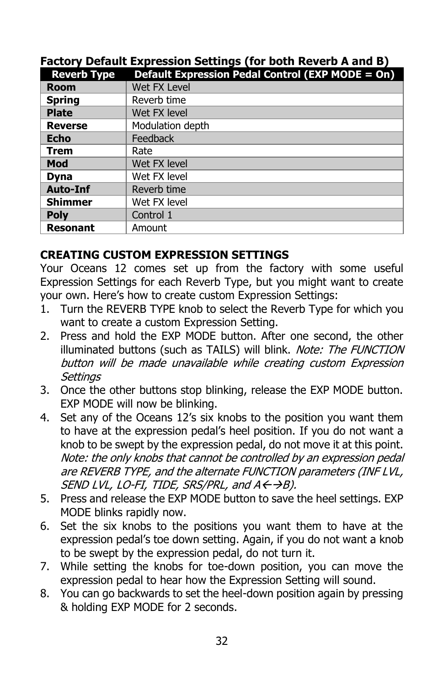#### **Factory Default Expression Settings (for both Reverb A and B)**

| <b>Reverb Type</b> | Default Expression Pedal Control (EXP MODE = On) |
|--------------------|--------------------------------------------------|
| Room               | Wet FX Level                                     |
| <b>Spring</b>      | Reverb time                                      |
| <b>Plate</b>       | Wet FX level                                     |
| <b>Reverse</b>     | Modulation depth                                 |
| <b>Echo</b>        | Feedback                                         |
| <b>Trem</b>        | Rate                                             |
| Mod                | Wet FX level                                     |
| <b>Dyna</b>        | Wet FX level                                     |
| <b>Auto-Inf</b>    | Reverb time                                      |
| <b>Shimmer</b>     | Wet FX level                                     |
| <b>Poly</b>        | Control 1                                        |
| <b>Resonant</b>    | Amount                                           |

#### **CREATING CUSTOM EXPRESSION SETTINGS**

Your Oceans 12 comes set up from the factory with some useful Expression Settings for each Reverb Type, but you might want to create your own. Here's how to create custom Expression Settings:

- 1. Turn the REVERB TYPE knob to select the Reverb Type for which you want to create a custom Expression Setting.
- 2. Press and hold the EXP MODE button. After one second, the other illuminated buttons (such as TAILS) will blink. Note: The FUNCTION button will be made unavailable while creating custom Expression **Settings**
- 3. Once the other buttons stop blinking, release the EXP MODE button. EXP MODE will now be blinking.
- 4. Set any of the Oceans 12's six knobs to the position you want them to have at the expression pedal's heel position. If you do not want a knob to be swept by the expression pedal, do not move it at this point. Note: the only knobs that cannot be controlled by an expression pedal are REVERB TYPE, and the alternate FUNCTION parameters (INF LVL, SEND LVL, LO-FI, TIDE, SRS/PRL, and  $A \leftarrow \rightarrow B$ ).
- 5. Press and release the EXP MODE button to save the heel settings. EXP MODE blinks rapidly now.
- 6. Set the six knobs to the positions you want them to have at the expression pedal's toe down setting. Again, if you do not want a knob to be swept by the expression pedal, do not turn it.
- 7. While setting the knobs for toe-down position, you can move the expression pedal to hear how the Expression Setting will sound.
- 8. You can go backwards to set the heel-down position again by pressing & holding EXP MODE for 2 seconds.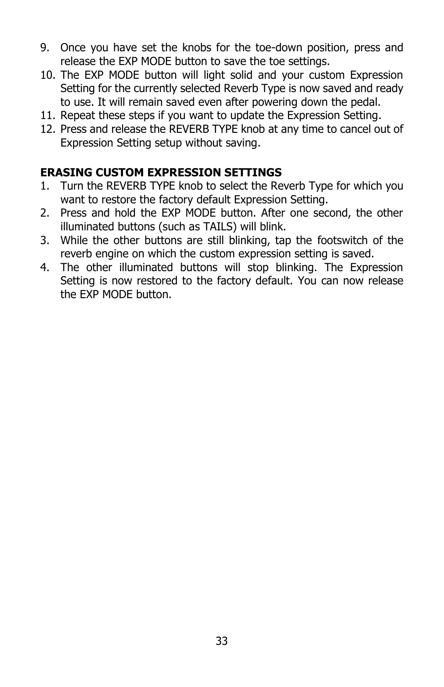- 9. Once you have set the knobs for the toe-down position, press and release the EXP MODE button to save the toe settings.
- 10. The EXP MODE button will light solid and your custom Expression Setting for the currently selected Reverb Type is now saved and ready to use. It will remain saved even after powering down the pedal.
- 11. Repeat these steps if you want to update the Expression Setting.
- 12. Press and release the REVERB TYPE knob at any time to cancel out of Expression Setting setup without saving.

#### **ERASING CUSTOM EXPRESSION SETTINGS**

- 1. Turn the REVERB TYPE knob to select the Reverb Type for which you want to restore the factory default Expression Setting.
- 2. Press and hold the EXP MODE button. After one second, the other illuminated buttons (such as TAILS) will blink.
- 3. While the other buttons are still blinking, tap the footswitch of the reverb engine on which the custom expression setting is saved.
- 4. The other illuminated buttons will stop blinking. The Expression Setting is now restored to the factory default. You can now release the EXP MODE button.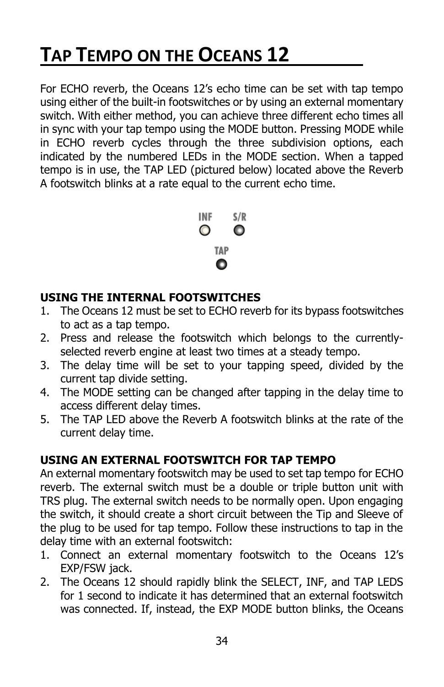## **TAP TEMPO ON THE OCEANS 12**

For ECHO reverb, the Oceans 12's echo time can be set with tap tempo using either of the built-in footswitches or by using an external momentary switch. With either method, you can achieve three different echo times all in sync with your tap tempo using the MODE button. Pressing MODE while in ECHO reverb cycles through the three subdivision options, each indicated by the numbered LEDs in the MODE section. When a tapped tempo is in use, the TAP LED (pictured below) located above the Reverb A footswitch blinks at a rate equal to the current echo time.



#### **USING THE INTERNAL FOOTSWITCHES**

- 1. The Oceans 12 must be set to ECHO reverb for its bypass footswitches to act as a tap tempo.
- 2. Press and release the footswitch which belongs to the currentlyselected reverb engine at least two times at a steady tempo.
- 3. The delay time will be set to your tapping speed, divided by the current tap divide setting.
- 4. The MODE setting can be changed after tapping in the delay time to access different delay times.
- 5. The TAP LED above the Reverb A footswitch blinks at the rate of the current delay time.

#### **USING AN EXTERNAL FOOTSWITCH FOR TAP TEMPO**

An external momentary footswitch may be used to set tap tempo for ECHO reverb. The external switch must be a double or triple button unit with TRS plug. The external switch needs to be normally open. Upon engaging the switch, it should create a short circuit between the Tip and Sleeve of the plug to be used for tap tempo. Follow these instructions to tap in the delay time with an external footswitch:

- 1. Connect an external momentary footswitch to the Oceans 12's EXP/FSW jack.
- 2. The Oceans 12 should rapidly blink the SELECT, INF, and TAP LEDS for 1 second to indicate it has determined that an external footswitch was connected. If, instead, the EXP MODE button blinks, the Oceans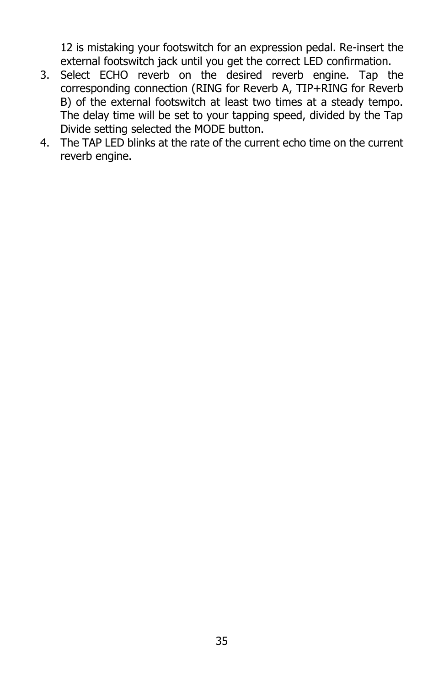12 is mistaking your footswitch for an expression pedal. Re-insert the external footswitch jack until you get the correct LED confirmation.

- 3. Select ECHO reverb on the desired reverb engine. Tap the corresponding connection (RING for Reverb A, TIP+RING for Reverb B) of the external footswitch at least two times at a steady tempo. The delay time will be set to your tapping speed, divided by the Tap Divide setting selected the MODE button.
- 4. The TAP LED blinks at the rate of the current echo time on the current reverb engine.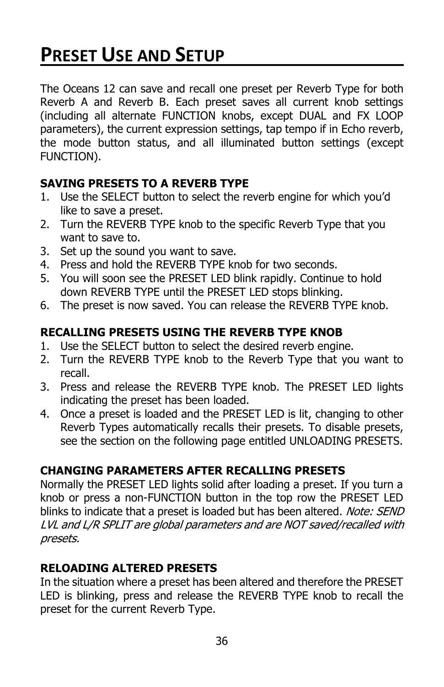### **PRESET USE AND SETUP**

The Oceans 12 can save and recall one preset per Reverb Type for both Reverb A and Reverb B. Each preset saves all current knob settings (including all alternate FUNCTION knobs, except DUAL and FX LOOP parameters), the current expression settings, tap tempo if in Echo reverb, the mode button status, and all illuminated button settings (except FUNCTION).

#### **SAVING PRESETS TO A REVERB TYPE**

- 1. Use the SELECT button to select the reverb engine for which you'd like to save a preset.
- 2. Turn the REVERB TYPE knob to the specific Reverb Type that you want to save to.
- 3. Set up the sound you want to save.
- 4. Press and hold the REVERB TYPE knob for two seconds.
- 5. You will soon see the PRESET LED blink rapidly. Continue to hold down REVERB TYPE until the PRESET LED stops blinking.
- 6. The preset is now saved. You can release the REVERB TYPE knob.

#### **RECALLING PRESETS USING THE REVERB TYPE KNOB**

- 1. Use the SELECT button to select the desired reverb engine.
- 2. Turn the REVERB TYPE knob to the Reverb Type that you want to recall.
- 3. Press and release the REVERB TYPE knob. The PRESET LED lights indicating the preset has been loaded.
- 4. Once a preset is loaded and the PRESET LED is lit, changing to other Reverb Types automatically recalls their presets. To disable presets, see the section on the following page entitled UNLOADING PRESETS.

#### **CHANGING PARAMETERS AFTER RECALLING PRESETS**

Normally the PRESET LED lights solid after loading a preset. If you turn a knob or press a non-FUNCTION button in the top row the PRESET LED blinks to indicate that a preset is loaded but has been altered. Note: SEND LVL and L/R SPLIT are global parameters and are NOT saved/recalled with presets.

#### **RELOADING ALTERED PRESETS**

In the situation where a preset has been altered and therefore the PRESET LED is blinking, press and release the REVERB TYPE knob to recall the preset for the current Reverb Type.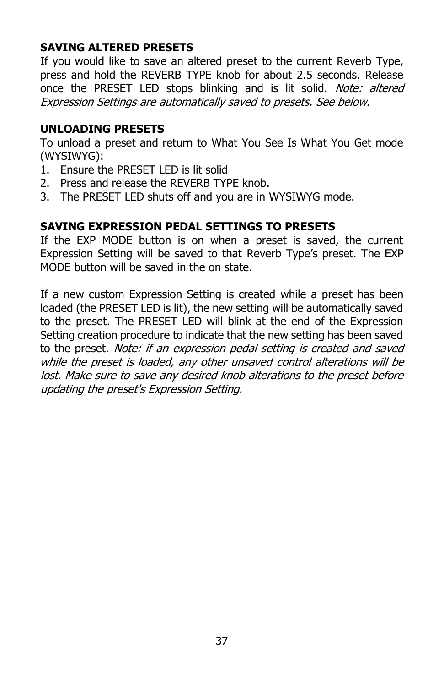#### **SAVING ALTERED PRESETS**

If you would like to save an altered preset to the current Reverb Type, press and hold the REVERB TYPE knob for about 2.5 seconds. Release once the PRESET LED stops blinking and is lit solid. Note: altered Expression Settings are automatically saved to presets. See below.

#### **UNLOADING PRESETS**

To unload a preset and return to What You See Is What You Get mode (WYSIWYG):

- 1. Ensure the PRESET LED is lit solid
- 2. Press and release the REVERB TYPE knob.
- 3. The PRESET LED shuts off and you are in WYSIWYG mode.

#### **SAVING EXPRESSION PEDAL SETTINGS TO PRESETS**

If the EXP MODE button is on when a preset is saved, the current Expression Setting will be saved to that Reverb Type's preset. The EXP MODE button will be saved in the on state.

If a new custom Expression Setting is created while a preset has been loaded (the PRESET LED is lit), the new setting will be automatically saved to the preset. The PRESET LED will blink at the end of the Expression Setting creation procedure to indicate that the new setting has been saved to the preset. Note: if an expression pedal setting is created and saved while the preset is loaded, any other unsaved control alterations will be lost. Make sure to save any desired knob alterations to the preset before updating the preset's Expression Setting.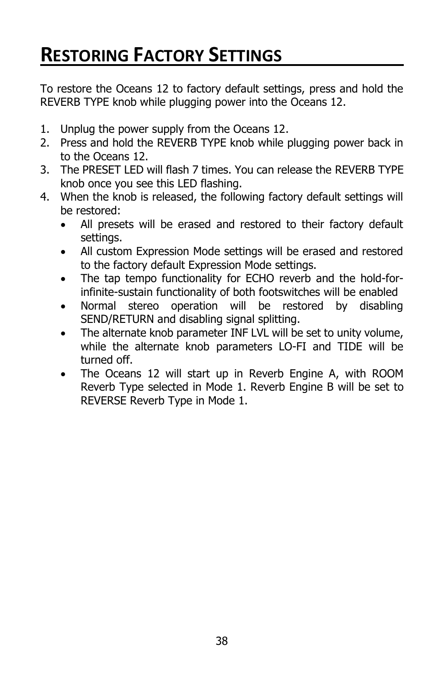### **RESTORING FACTORY SETTINGS**

To restore the Oceans 12 to factory default settings, press and hold the REVERB TYPE knob while plugging power into the Oceans 12.

- 1. Unplug the power supply from the Oceans 12.
- 2. Press and hold the REVERB TYPE knob while plugging power back in to the Oceans 12.
- 3. The PRESET LED will flash 7 times. You can release the REVERB TYPE knob once you see this LED flashing.
- 4. When the knob is released, the following factory default settings will be restored:
	- All presets will be erased and restored to their factory default settings.
	- All custom Expression Mode settings will be erased and restored to the factory default Expression Mode settings.
	- The tap tempo functionality for ECHO reverb and the hold-forinfinite-sustain functionality of both footswitches will be enabled
	- Normal stereo operation will be restored by disabling SEND/RETURN and disabling signal splitting.
	- The alternate knob parameter INF LVL will be set to unity volume, while the alternate knob parameters LO-FI and TIDE will be turned off.
	- The Oceans 12 will start up in Reverb Engine A, with ROOM Reverb Type selected in Mode 1. Reverb Engine B will be set to REVERSE Reverb Type in Mode 1.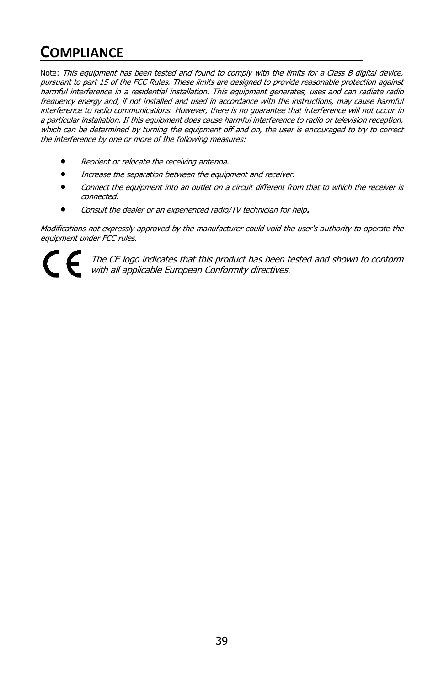### **COMPLIANCE**

Note: This equipment has been tested and found to comply with the limits for a Class B digital device, pursuant to part 15 of the FCC Rules. These limits are designed to provide reasonable protection against harmful interference in a residential installation. This equipment generates, uses and can radiate radio frequency energy and, if not installed and used in accordance with the instructions, may cause harmful interference to radio communications. However, there is no guarantee that interference will not occur in a particular installation. If this equipment does cause harmful interference to radio or television reception, which can be determined by turning the equipment off and on, the user is encouraged to try to correct the interference by one or more of the following measures:

- Reorient or relocate the receiving antenna.
- Increase the separation between the equipment and receiver.
- Connect the equipment into an outlet on a circuit different from that to which the receiver is connected.
- Consult the dealer or an experienced radio/TV technician for help**.**

Modifications not expressly approved by the manufacturer could void the user's authority to operate the equipment under FCC rules.

The CE logo indicates that this product has been tested and shown to conform with all applicable European Conformity directives.